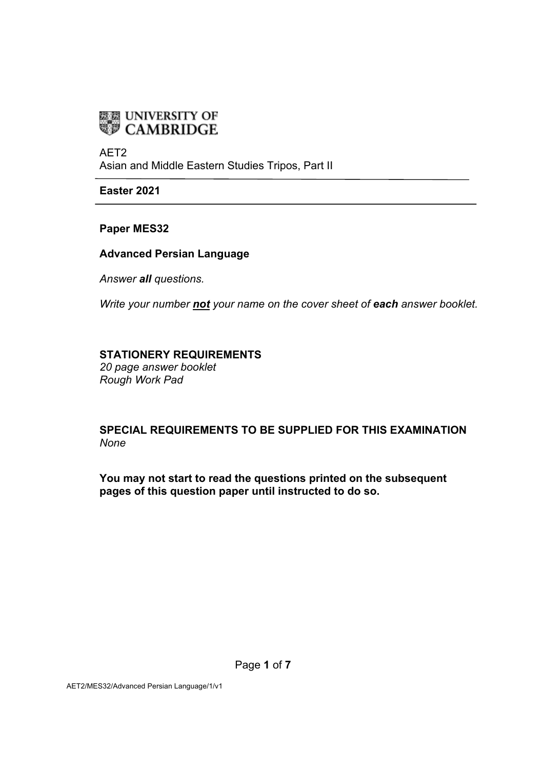

AET2 Asian and Middle Eastern Studies Tripos, Part II

**Easter 2021**

**Paper MES32** 

**Advanced Persian Language** 

*Answer all questions.*

*Write your number not your name on the cover sheet of each answer booklet.*

#### **STATIONERY REQUIREMENTS**

*20 page answer booklet Rough Work Pad* 

**SPECIAL REQUIREMENTS TO BE SUPPLIED FOR THIS EXAMINATION** *None*

**You may not start to read the questions printed on the subsequent pages of this question paper until instructed to do so.**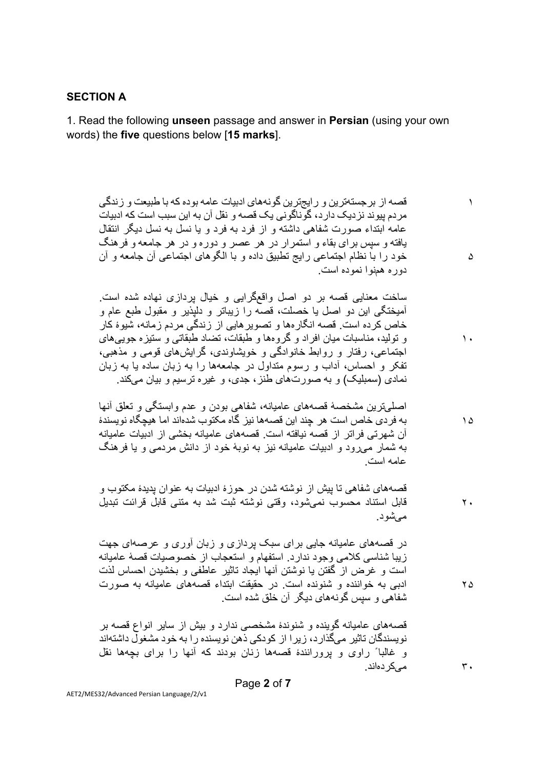### **SECTION A**

1. Read the following **unseen** passage and answer in **Persian** (using your own words) the **five** questions below [**15 marks**].

١ ۵ قصه از بر جستهترين و رايجترين گونههاي ادبيات عامه بوده كه با طبيعت و زندگي مردم پیوند نزدیک دارد، گوناگونی یک قصه و نقل آن به این سبب است که ادبیات عامه ابتداء صورت شفاهي داشته و از فرد به فرد و يا نسل به نسل ديگر انتقال یافته و سپس بر ای بقاء و استمرار در هر عصر و دوره و در هر جامعه و فرهنگ خود را با نظام اجتماعی رایج تطبیق داده و با الگوهای اجتماعی آن جامعه و آن دوره هضوا نموده است.

ساخت معنایی قصه بر دو اصل واقعگرایی و خیال بردازی نهاده شده است. آمیخنگی این دو اصل یا خصلت، قصه را زیباتر و دلپذیر و مقبول طبع عام و خاص کر دہ است. قصبه انگار مھا و تصویر ھاپے از زندگے مر دم ز مانه، شبوءً کار و تولید، مناسبات میان افراد و گروهها و طبقات، تضاد طبقاتبی و ستیزه جویبیهای اجتماعی، رفتار و روابط خانوادگی و خویشاوندی، گرایش،های قومی و مذهبی، تفکر و احساس، آداب و رسوم متداول در جامعهها را به زبان ساده یا به زبان نمادی (سمبلیک) و به صورتهای طنز ، جدی، و غیره نرسیم و بیان میکند.

١۵ اصلے تر بن مشخصهٔ قصههای عامیانه، شفاهی بودن و عدم و ابستگی و تعلق آنها به فرد*ی* خاص است هر چند این قصهها نیز گاه مکتوب شدهٰاند اما هیچگاه نویسندۀ آن شهر تی فر اتر از قصه نیافته است. قصههای عامیانه بخشی از ادبیات عامیانه به شمار مبرود و ادبیات عامیانه نیز به نوبهٔ خود از دانش مردمبی و یا فر هنگ عامه است

٢٠ قصههای شفاهی تا بیش از نوشته شدن در حوزهٔ ادبیات به عنوان پدیدهٔ مکتوب و قابل استناد محسوب نمیشود، وقتی نوشته ثبت شد به متنی قابل قرائت تبدیل مے شو د

در قصههای عامیانه جایبی برای سبک پردازی و زبان آوری و عرصهای جهت زیبا شناسی کلامی وجود ندارد. استفهام و استعجاب از خصوصیات قصهٔ عامیانه است و غرض از گفتن یا نوشتن آنها ایجاد ناثیر عاطفی و بخشیدن احساس لذت ادبی به خواننده و شنونده است. در حقیقت ابتداء قصههای عامیانه به صورت شفاهي و سپس گونههاي ديگر آن خلق شده است.

٢۵

٣٠

١٠

قصههای عامیانه گوینده و شنوندهٔ مشخصبی ندارد و بیش از سایر انواع قصه بر نو پسندگان تاثیر ً میگذار د، ز پر ا از کو دکی ذهن نو پسنده ر ا به خو د مشغو ل داشتهاند و غالباً راوی و یرورانندۂ قصمها زنان بودند که آنها را برای بچهها نقل مه یک دهاند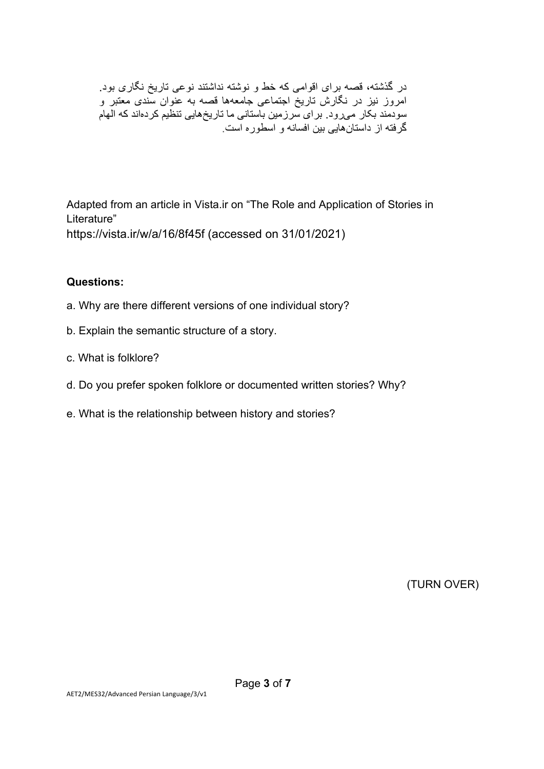در گذشته، قصه برای اقوامی که خط و نوشته نداشتند نوعی تاریخ نگاری بود. امروز نیز در نگارش تاریخ اجتماعی جامعهها قصه به عنوان سّندی معتبر و سودمند بکار میرود. برای سرزمین باستانی ما تاریخهایی تنظیم کردهاند که الهام گرفته از داستانهایی بین افسانه و اسطوره است

Adapted from an article in Vista.ir on "The Role and Application of Stories in Literature" https://vista.ir/w/a/16/8f45f (accessed on 31/01/2021)

### **Questions:**

- a. Why are there different versions of one individual story?
- b. Explain the semantic structure of a story.
- c. What is folklore?
- d. Do you prefer spoken folklore or documented written stories? Why?
- e. What is the relationship between history and stories?

(TURN OVER)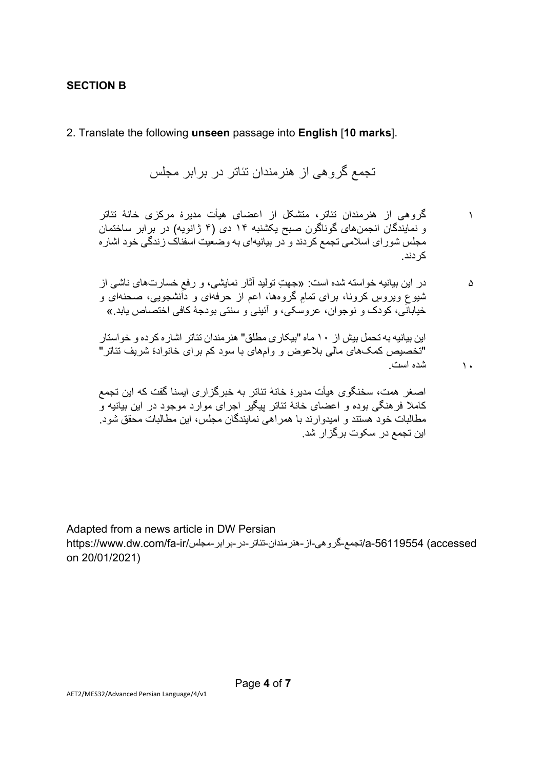#### **SECTION B**

2. Translate the following **unseen** passage into **English** [**10 marks**].

تجمع گروهي از هنرمندان تئاتر در بر ابر مجلس

گروهی از هنرمندان تئاتر، متشکل از اعضای هیأت مدیرهٔ مرکزی خانهٔ تئاتر و نمایندگان انجمن های گوناگون صبح یکشنبه ١۴ دی (۴ ژانویه) در بر ابر ساختمان مجلس شور ای اسلامی تجمع کردند و در بیانیهای به وضعیت اسفناک زندگی خود اشار ه کر دندر

١

١٠

 $\Delta$ در این بیانیه خواسته شده است: «جهتِ تولید آثار نمایشی، و رفعِ خسارتهای ناشبی از<br>. ثنیوعِ ویروسِ کرونا، برای تمامِ گروهها، اعم از حرفهای و دانشجویی، صحنهای و<br>شیوعِ ویروس خیابانَی، کودک و نوجوان، عروسکی، و اَئینی و سنتی بودجهٔ کافی اختصاص یابد »

این بیانیه به تحمل بیش از ١٠ ماه "بیکار ی مطلق" هنر مندان تئاتر اشار ه کر ده و خو استار "تخصیص کمکہای مالی بلاعوض و وامہای با سود کم برای خانوادۂ شریف تئاتر" شده است

اصغر همت، سخنگوی هیأت مدیرۂ خانهٔ تئاتر به خبرگزاری ایسنا گفت که این تجمع کاملا فر هنگی بوده و اعضای خانهٔ تئاتر بیگیر اجرای موارد موجود در این بیانیه و مطالبات خود هستند و امیدوارند با همراهی نمایندگان مجلس، ابن مطالبات محقق شود. این تجمع در سکوت برگز ار شد.

Adapted from a news article in DW Persian a-56119554 (accessed) لتجمع-گروهي-از-هنرمندان-نئاتر-در-برابر-مجلس/fa-ir/مجلس/https://www.dw.com/fa-ir on 20/01/2021)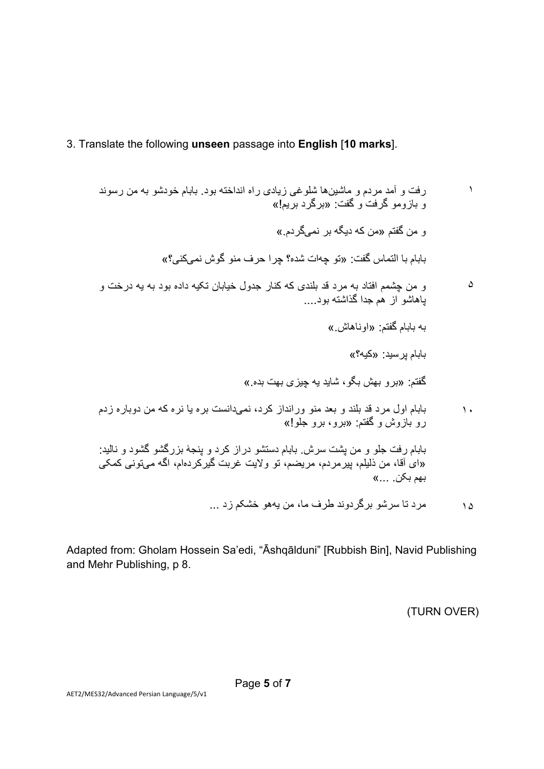## 3. Translate the following **unseen** passage into **English** [**10 marks**].

١  $\Delta$ ١٠ ١۵ رفت و آمد مردم و ماشین&ا شلوغی زیادی راه انداخته بود. بابام خودشو به من رسوند ر<br>و بازومو گرفت و گفت: «برگرد بریم!» و من گفتم «من که دیگه بر نمے گر دم » بابام با التماس گفت: «تو چهات شده؟ چرا حرف منو گوش نميكني؟» و من چشمم افتاد به مرد قد بلندی که کنار جدول خیابان تکیه داده بود به یه درخت و بـاهاشو از هم جدا گذاشته بود.... به بابام گفتم: «او ناهاش » بابام پرسید: «کیه؟» گفتم: «برو بھش بگو، شاید یه چیزی بھت بده.» بابام اول مرد قد بلند و بعد منو ورانداز کرد، نمیدانست بره یا نره که من دوباره زدم رو بازوش و گفتم: «برو، برو جلو!» بابام رفت جلو و من پشت سرش بابام دستشو دراز کرد و پنجهٔ بزرگشو گشود و نالبد: «ای آقا، من ذَلبِلّم، بِیرْمردم، مریضم، تو ولایت عربت گیرکردهام، اگه میتونی کمکی »... .نکب مھب مر د تا سر شو بر گر دوند طر ف ما، من بهھو خشکم ز د ...

Adapted from: Gholam Hossein Sa'edi, "Āshqālduni" [Rubbish Bin], Navid Publishing and Mehr Publishing, p 8.

(TURN OVER)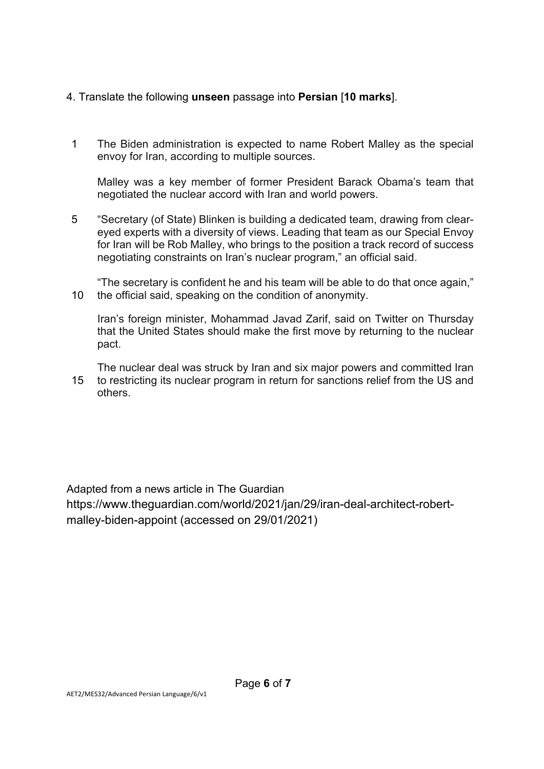## 4. Translate the following **unseen** passage into **Persian** [**10 marks**].

1 The Biden administration is expected to name Robert Malley as the special envoy for Iran, according to multiple sources.

Malley was a key member of former President Barack Obama's team that negotiated the nuclear accord with Iran and world powers.

5 "Secretary (of State) Blinken is building a dedicated team, drawing from cleareyed experts with a diversity of views. Leading that team as our Special Envoy for Iran will be Rob Malley, who brings to the position a track record of success negotiating constraints on Iran's nuclear program," an official said.

10 "The secretary is confident he and his team will be able to do that once again," the official said, speaking on the condition of anonymity.

Iran's foreign minister, Mohammad Javad Zarif, said on Twitter on Thursday that the United States should make the first move by returning to the nuclear pact.

15 The nuclear deal was struck by Iran and six major powers and committed Iran to restricting its nuclear program in return for sanctions relief from the US and others.

Adapted from a news article in The Guardian https://www.theguardian.com/world/2021/jan/29/iran-deal-architect-robertmalley-biden-appoint (accessed on 29/01/2021)